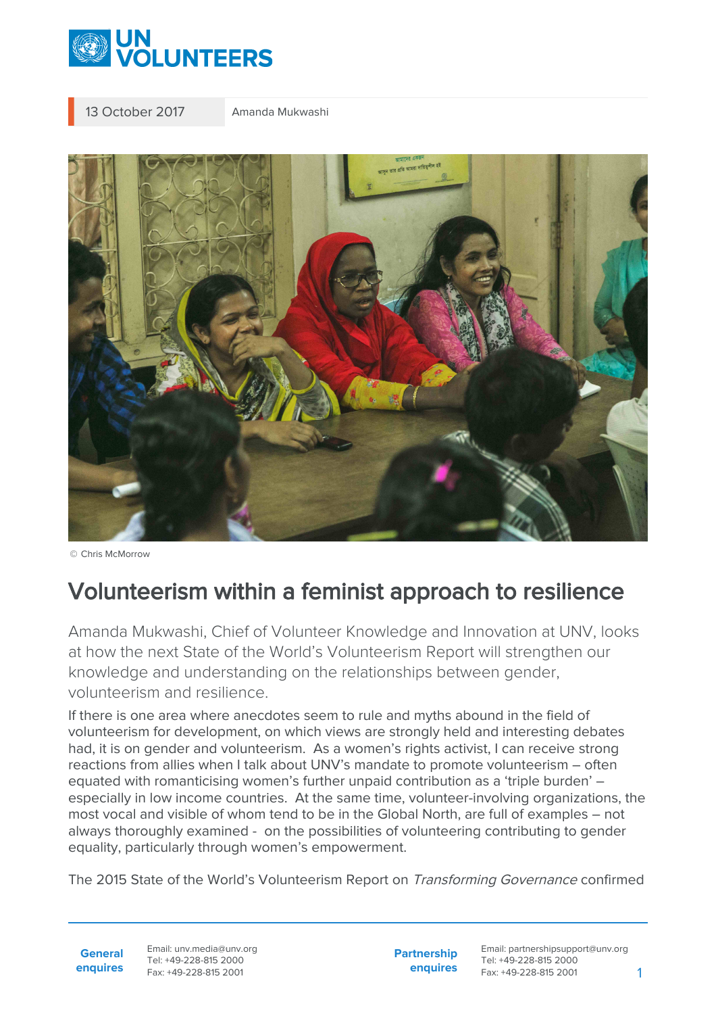

13 October 2017 Amanda Mukwashi



© Chris McMorrow

## Volunteerism within a feminist approach to resilience

Amanda Mukwashi, Chief of Volunteer Knowledge and Innovation at UNV, looks at how the next State of the World's Volunteerism Report will strengthen our knowledge and understanding on the relationships between gender, volunteerism and resilience.

If there is one area where anecdotes seem to rule and myths abound in the field of volunteerism for development, on which views are strongly held and interesting debates had, it is on gender and volunteerism. As a women's rights activist, I can receive strong reactions from allies when I talk about UNV's mandate to promote volunteerism – often equated with romanticising women's further unpaid contribution as a 'triple burden' – especially in low income countries. At the same time, volunteer-involving organizations, the most vocal and visible of whom tend to be in the Global North, are full of examples – not always thoroughly examined - on the possibilities of volunteering contributing to gender equality, particularly through women's empowerment.

The 2015 State of the World's Volunteerism Report on Transforming Governance confirmed

**General enquires** Email: unv.media@unv.org Tel: +49-228-815 2000 Fax: +49-228-815 2001

**Partnership enquires**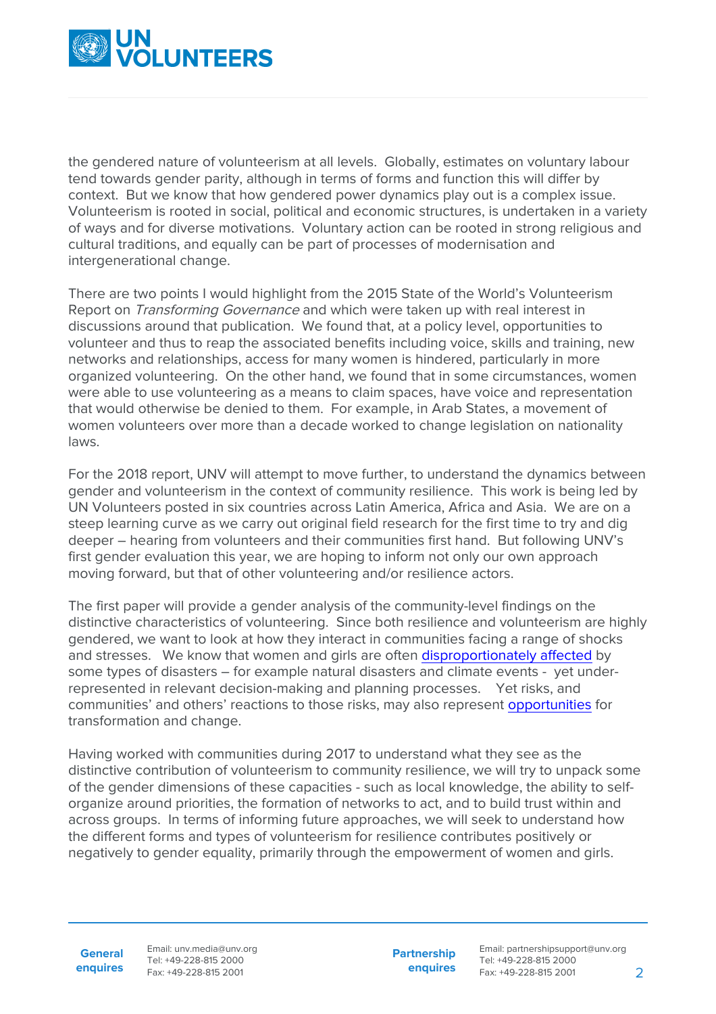

the gendered nature of volunteerism at all levels. Globally, estimates on voluntary labour tend towards gender parity, although in terms of forms and function this will differ by context. But we know that how gendered power dynamics play out is a complex issue. Volunteerism is rooted in social, political and economic structures, is undertaken in a variety of ways and for diverse motivations. Voluntary action can be rooted in strong religious and cultural traditions, and equally can be part of processes of modernisation and intergenerational change.

There are two points I would highlight from the 2015 State of the World's Volunteerism Report on Transforming Governance and which were taken up with real interest in discussions around that publication. We found that, at a policy level, opportunities to volunteer and thus to reap the associated benefits including voice, skills and training, new networks and relationships, access for many women is hindered, particularly in more organized volunteering. On the other hand, we found that in some circumstances, women were able to use volunteering as a means to claim spaces, have voice and representation that would otherwise be denied to them. For example, in Arab States, a movement of women volunteers over more than a decade worked to change legislation on nationality laws.

For the 2018 report, UNV will attempt to move further, to understand the dynamics between gender and volunteerism in the context of community resilience. This work is being led by UN Volunteers posted in six countries across Latin America, Africa and Asia. We are on a steep learning curve as we carry out original field research for the first time to try and dig deeper – hearing from volunteers and their communities first hand. But following UNV's first gender evaluation this year, we are hoping to inform not only our own approach moving forward, but that of other volunteering and/or resilience actors.

The first paper will provide a gender analysis of the community-level findings on the distinctive characteristics of volunteering. Since both resilience and volunteerism are highly gendered, we want to look at how they interact in communities facing a range of shocks and stresses. We know that women and girls are often [disproportionately affected](https://www.gfdrr.org/sites/gfdrr/files/publication/Building-Social-Resilience-Protecting-and-Empowering-Those-Most-at-Risk.pdf) by some types of disasters – for example natural disasters and climate events - yet underrepresented in relevant decision-making and planning processes. Yet risks, and communities' and others' reactions to those risks, may also represent [opportunities](https://journalinternaldisplacement.webs.com/Vol4No1/Krause_JID_Vol4_No1_2014.pdf) for transformation and change.

Having worked with communities during 2017 to understand what they see as the distinctive contribution of volunteerism to community resilience, we will try to unpack some of the gender dimensions of these capacities - such as local knowledge, the ability to selforganize around priorities, the formation of networks to act, and to build trust within and across groups. In terms of informing future approaches, we will seek to understand how the different forms and types of volunteerism for resilience contributes positively or negatively to gender equality, primarily through the empowerment of women and girls.

**General enquires** Email: unv.media@unv.org Tel: +49-228-815 2000 Fax: +49-228-815 2001

**Partnership enquires**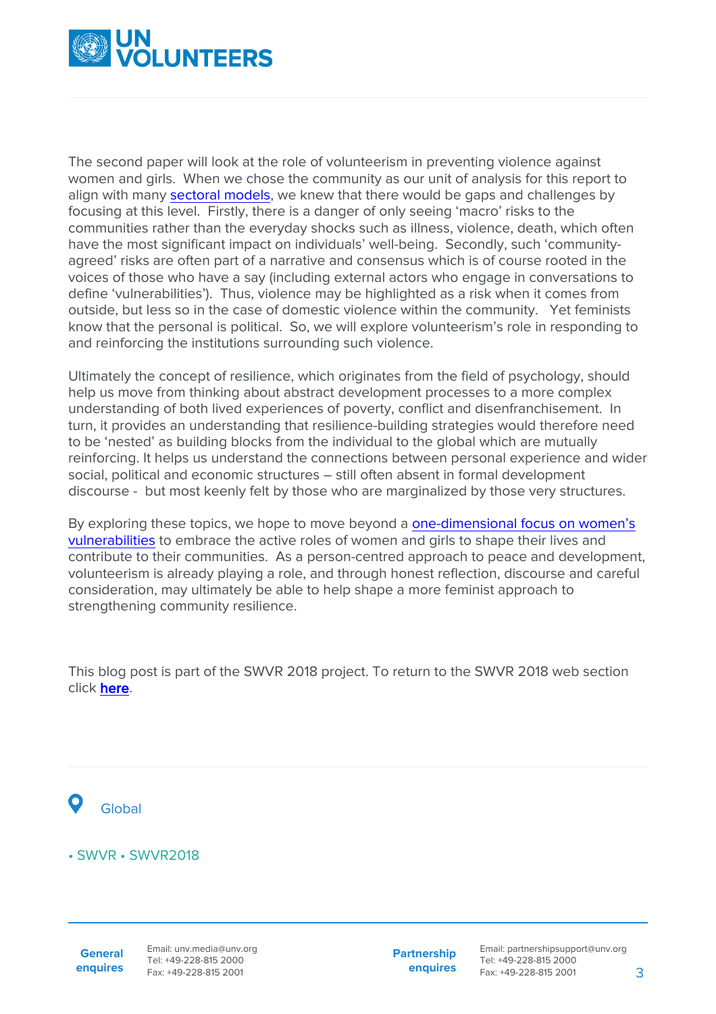

The second paper will look at the role of volunteerism in preventing violence against women and girls. When we chose the community as our unit of analysis for this report to align with many [sectoral models,](https://www.undp.org/content/undp/en/home/librarypage/environment-energy/sustainable_land_management/CoBRA/cobra-conceptual-framework) we knew that there would be gaps and challenges by focusing at this level. Firstly, there is a danger of only seeing 'macro' risks to the communities rather than the everyday shocks such as illness, violence, death, which often have the most significant impact on individuals' well-being. Secondly, such 'communityagreed' risks are often part of a narrative and consensus which is of course rooted in the voices of those who have a say (including external actors who engage in conversations to define 'vulnerabilities'). Thus, violence may be highlighted as a risk when it comes from outside, but less so in the case of domestic violence within the community. Yet feminists know that the personal is political. So, we will explore volunteerism's role in responding to and reinforcing the institutions surrounding such violence.

Ultimately the concept of resilience, which originates from the field of psychology, should help us move from thinking about abstract development processes to a more complex understanding of both lived experiences of poverty, conflict and disenfranchisement. In turn, it provides an understanding that resilience-building strategies would therefore need to be 'nested' as building blocks from the individual to the global which are mutually reinforcing. It helps us understand the connections between personal experience and wider social, political and economic structures – still often absent in formal development discourse - but most keenly felt by those who are marginalized by those very structures.

By exploring these topics, we hope to move beyond a [one-dimensional focus on women's](https://www.tandfonline.com/doi/full/10.1080/13552074.2015.1113769) [vulnerabilities](https://www.tandfonline.com/doi/full/10.1080/13552074.2015.1113769) to embrace the active roles of women and girls to shape their lives and contribute to their communities. As a person-centred approach to peace and development, volunteerism is already playing a role, and through honest reflection, discourse and careful consideration, may ultimately be able to help shape a more feminist approach to strengthening community resilience.

This blog post is part of the SWVR 2018 project. To return to the SWVR 2018 web section click [here.](https://www.unv.org/swvr/resilientcommunities)



## • SWVR • SWVR2018

**General enquires** Email: unv.media@unv.org Tel: +49-228-815 2000 Fax: +49-228-815 2001

**Partnership enquires**